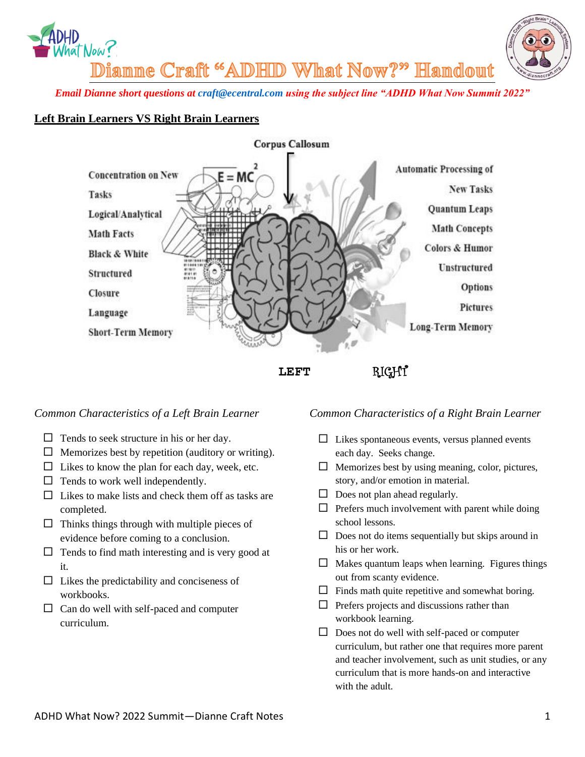



Dianne Craft "ADHID What Now?" Handout

*Email Dianne short questions at [craft@ecentral.com](mailto:craft@ecentral.com) using the subject line "ADHD What Now Summit 2022"*

#### **Left Brain Learners VS Right Brain Learners**



 **LEFT** RIGHT

#### *Common Characteristics of a Left Brain Learner*

- $\Box$  Tends to seek structure in his or her day.
- $\Box$  Memorizes best by repetition (auditory or writing).
- $\Box$  Likes to know the plan for each day, week, etc.
- $\Box$  Tends to work well independently.
- $\Box$  Likes to make lists and check them off as tasks are completed.
- $\Box$  Thinks things through with multiple pieces of evidence before coming to a conclusion.
- $\Box$  Tends to find math interesting and is very good at it.
- $\Box$  Likes the predictability and conciseness of workbooks.
- $\Box$  Can do well with self-paced and computer curriculum.

#### *Common Characteristics of a Right Brain Learner*

- $\Box$  Likes spontaneous events, versus planned events each day. Seeks change.
- $\Box$  Memorizes best by using meaning, color, pictures, story, and/or emotion in material.
- $\Box$  Does not plan ahead regularly.
- $\Box$  Prefers much involvement with parent while doing school lessons.
- $\square$  Does not do items sequentially but skips around in his or her work.
- $\Box$  Makes quantum leaps when learning. Figures things out from scanty evidence.
- $\Box$  Finds math quite repetitive and somewhat boring.
- $\Box$  Prefers projects and discussions rather than workbook learning.
- $\Box$  Does not do well with self-paced or computer curriculum, but rather one that requires more parent and teacher involvement, such as unit studies, or any curriculum that is more hands-on and interactive with the adult.